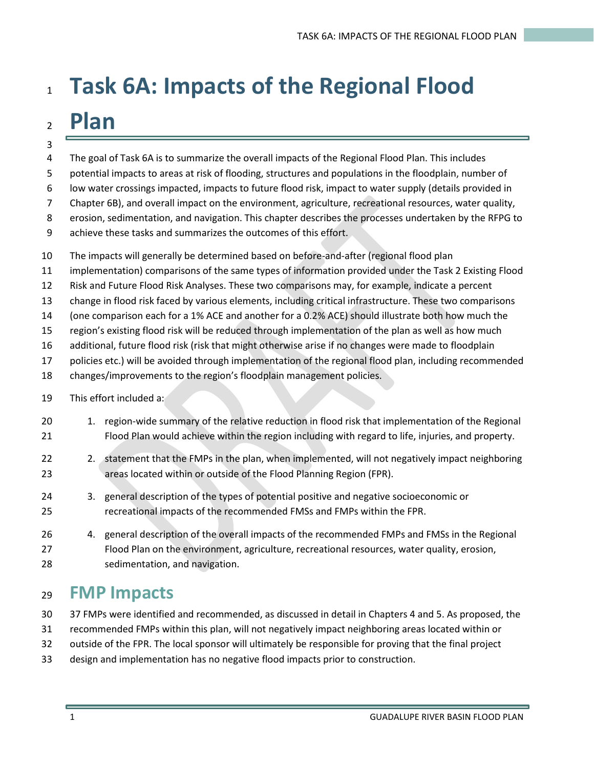# **Task 6A: Impacts of the Regional Flood Plan**

- 
- The goal of Task 6A is to summarize the overall impacts of the Regional Flood Plan. This includes
- potential impacts to areas at risk of flooding, structures and populations in the floodplain, number of
- low water crossings impacted, impacts to future flood risk, impact to water supply (details provided in
- Chapter 6B), and overall impact on the environment, agriculture, recreational resources, water quality,
- erosion, sedimentation, and navigation. This chapter describes the processes undertaken by the RFPG to
- achieve these tasks and summarizes the outcomes of this effort.
- The impacts will generally be determined based on before-and-after (regional flood plan
- implementation) comparisons of the same types of information provided under the Task 2 Existing Flood
- Risk and Future Flood Risk Analyses. These two comparisons may, for example, indicate a percent
- change in flood risk faced by various elements, including critical infrastructure. These two comparisons
- (one comparison each for a 1% ACE and another for a 0.2% ACE) should illustrate both how much the
- region's existing flood risk will be reduced through implementation of the plan as well as how much
- additional, future flood risk (risk that might otherwise arise if no changes were made to floodplain
- policies etc.) will be avoided through implementation of the regional flood plan, including recommended
- changes/improvements to the region's floodplain management policies.
- This effort included a:
- 20 1. region-wide summary of the relative reduction in flood risk that implementation of the Regional Flood Plan would achieve within the region including with regard to life, injuries, and property.
- 22 2. statement that the FMPs in the plan, when implemented, will not negatively impact neighboring areas located within or outside of the Flood Planning Region (FPR).
- 3. general description of the types of potential positive and negative socioeconomic or recreational impacts of the recommended FMSs and FMPs within the FPR.
- 4. general description of the overall impacts of the recommended FMPs and FMSs in the Regional Flood Plan on the environment, agriculture, recreational resources, water quality, erosion, sedimentation, and navigation.

# **FMP Impacts**

- 37 FMPs were identified and recommended, as discussed in detail in Chapters 4 and 5. As proposed, the
- recommended FMPs within this plan, will not negatively impact neighboring areas located within or
- outside of the FPR. The local sponsor will ultimately be responsible for proving that the final project
- design and implementation has no negative flood impacts prior to construction.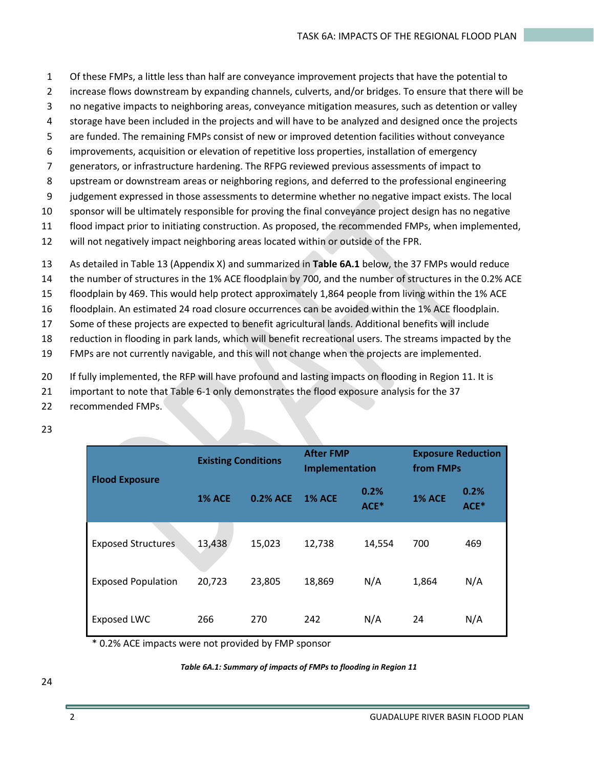- 1 Of these FMPs, a little less than half are conveyance improvement projects that have the potential to
- 2 increase flows downstream by expanding channels, culverts, and/or bridges. To ensure that there will be
- 3 no negative impacts to neighboring areas, conveyance mitigation measures, such as detention or valley
- 4 storage have been included in the projects and will have to be analyzed and designed once the projects
- 5 are funded. The remaining FMPs consist of new or improved detention facilities without conveyance
- 6 improvements, acquisition or elevation of repetitive loss properties, installation of emergency
- 7 generators, or infrastructure hardening. The RFPG reviewed previous assessments of impact to
- 8 upstream or downstream areas or neighboring regions, and deferred to the professional engineering
- 9 judgement expressed in those assessments to determine whether no negative impact exists. The local
- 10 sponsor will be ultimately responsible for proving the final conveyance project design has no negative
- 11 flood impact prior to initiating construction. As proposed, the recommended FMPs, when implemented,
- 12 will not negatively impact neighboring areas located within or outside of the FPR.
- 13 As detailed in Table 13 (Appendix X) and summarized in **Table 6A.1** below, the 37 FMPs would reduce
- 14 the number of structures in the 1% ACE floodplain by 700, and the number of structures in the 0.2% ACE
- 15 floodplain by 469. This would help protect approximately 1,864 people from living within the 1% ACE
- 16 floodplain. An estimated 24 road closure occurrences can be avoided within the 1% ACE floodplain.
- 17 Some of these projects are expected to benefit agricultural lands. Additional benefits will include
- 18 reduction in flooding in park lands, which will benefit recreational users. The streams impacted by the
- 19 FMPs are not currently navigable, and this will not change when the projects are implemented.
- 20 If fully implemented, the RFP will have profound and lasting impacts on flooding in Region 11. It is
- 21 important to note that Table 6-1 only demonstrates the flood exposure analysis for the 37
- 22 recommended FMPs.
- 23

| <b>Flood Exposure</b>     | <b>Existing Conditions</b> |          | <b>After FMP</b><br>Implementation |              | <b>Exposure Reduction</b><br>from FMPs |              |
|---------------------------|----------------------------|----------|------------------------------------|--------------|----------------------------------------|--------------|
|                           | <b>1% ACE</b>              | 0.2% ACE | <b>1% ACE</b>                      | 0.2%<br>ACE* | <b>1% ACE</b>                          | 0.2%<br>ACE* |
| <b>Exposed Structures</b> | 13,438                     | 15,023   | 12,738                             | 14,554       | 700                                    | 469          |
| <b>Exposed Population</b> | 20,723                     | 23,805   | 18,869                             | N/A          | 1,864                                  | N/A          |
| <b>Exposed LWC</b>        | 266                        | 270      | 242                                | N/A          | 24                                     | N/A          |

\* 0.2% ACE impacts were not provided by FMP sponsor

#### *Table 6A.1: Summary of impacts of FMPs to flooding in Region 11*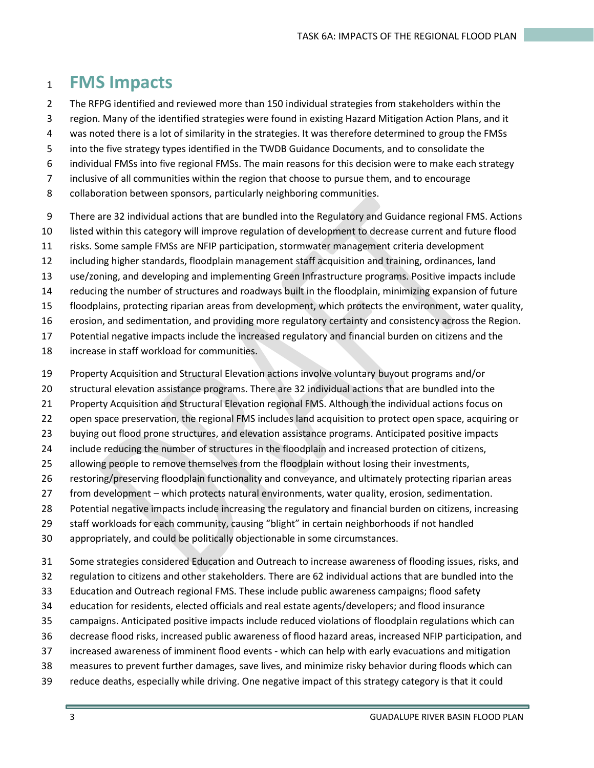## **FMS Impacts**

- The RFPG identified and reviewed more than 150 individual strategies from stakeholders within the
- region. Many of the identified strategies were found in existing Hazard Mitigation Action Plans, and it
- was noted there is a lot of similarity in the strategies. It was therefore determined to group the FMSs
- into the five strategy types identified in the TWDB Guidance Documents, and to consolidate the
- individual FMSs into five regional FMSs. The main reasons for this decision were to make each strategy
- inclusive of all communities within the region that choose to pursue them, and to encourage
- collaboration between sponsors, particularly neighboring communities.
- There are 32 individual actions that are bundled into the Regulatory and Guidance regional FMS. Actions
- listed within this category will improve regulation of development to decrease current and future flood
- risks. Some sample FMSs are NFIP participation, stormwater management criteria development
- including higher standards, floodplain management staff acquisition and training, ordinances, land
- use/zoning, and developing and implementing Green Infrastructure programs. Positive impacts include
- reducing the number of structures and roadways built in the floodplain, minimizing expansion of future
- floodplains, protecting riparian areas from development, which protects the environment, water quality,
- erosion, and sedimentation, and providing more regulatory certainty and consistency across the Region.
- Potential negative impacts include the increased regulatory and financial burden on citizens and the
- increase in staff workload for communities.
- Property Acquisition and Structural Elevation actions involve voluntary buyout programs and/or
- structural elevation assistance programs. There are 32 individual actions that are bundled into the
- Property Acquisition and Structural Elevation regional FMS. Although the individual actions focus on
- open space preservation, the regional FMS includes land acquisition to protect open space, acquiring or
- buying out flood prone structures, and elevation assistance programs. Anticipated positive impacts
- include reducing the number of structures in the floodplain and increased protection of citizens,
- allowing people to remove themselves from the floodplain without losing their investments,
- restoring/preserving floodplain functionality and conveyance, and ultimately protecting riparian areas
- from development which protects natural environments, water quality, erosion, sedimentation.
- Potential negative impacts include increasing the regulatory and financial burden on citizens, increasing
- staff workloads for each community, causing "blight" in certain neighborhoods if not handled
- appropriately, and could be politically objectionable in some circumstances.
- Some strategies considered Education and Outreach to increase awareness of flooding issues, risks, and
- regulation to citizens and other stakeholders. There are 62 individual actions that are bundled into the
- Education and Outreach regional FMS. These include public awareness campaigns; flood safety
- education for residents, elected officials and real estate agents/developers; and flood insurance
- campaigns. Anticipated positive impacts include reduced violations of floodplain regulations which can
- decrease flood risks, increased public awareness of flood hazard areas, increased NFIP participation, and
- increased awareness of imminent flood events which can help with early evacuations and mitigation
- measures to prevent further damages, save lives, and minimize risky behavior during floods which can
- reduce deaths, especially while driving. One negative impact of this strategy category is that it could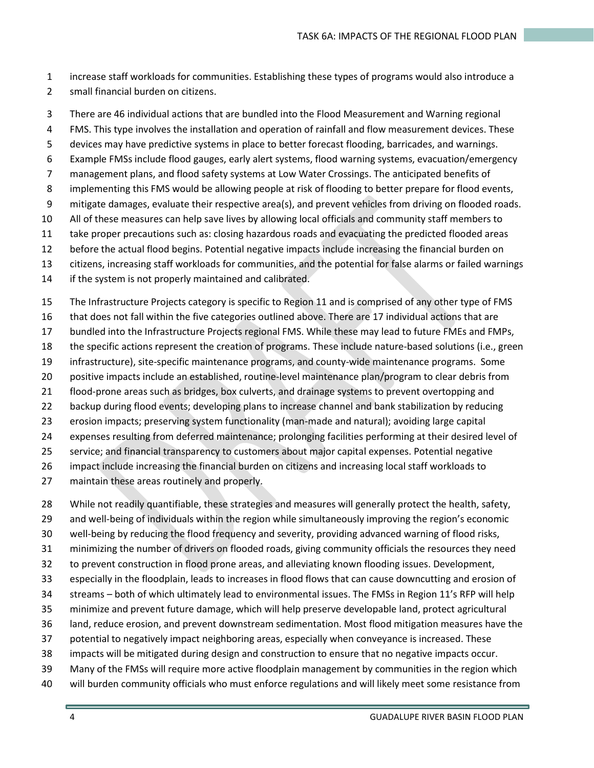- increase staff workloads for communities. Establishing these types of programs would also introduce a small financial burden on citizens.
- There are 46 individual actions that are bundled into the Flood Measurement and Warning regional
- FMS. This type involves the installation and operation of rainfall and flow measurement devices. These
- devices may have predictive systems in place to better forecast flooding, barricades, and warnings.
- Example FMSs include flood gauges, early alert systems, flood warning systems, evacuation/emergency
- management plans, and flood safety systems at Low Water Crossings. The anticipated benefits of
- implementing this FMS would be allowing people at risk of flooding to better prepare for flood events,
- mitigate damages, evaluate their respective area(s), and prevent vehicles from driving on flooded roads.
- All of these measures can help save lives by allowing local officials and community staff members to
- take proper precautions such as: closing hazardous roads and evacuating the predicted flooded areas
- before the actual flood begins. Potential negative impacts include increasing the financial burden on
- citizens, increasing staff workloads for communities, and the potential for false alarms or failed warnings
- if the system is not properly maintained and calibrated.
- The Infrastructure Projects category is specific to Region 11 and is comprised of any other type of FMS
- that does not fall within the five categories outlined above. There are 17 individual actions that are
- bundled into the Infrastructure Projects regional FMS. While these may lead to future FMEs and FMPs,
- the specific actions represent the creation of programs. These include nature-based solutions (i.e., green
- infrastructure), site-specific maintenance programs, and county-wide maintenance programs. Some
- positive impacts include an established, routine-level maintenance plan/program to clear debris from
- flood-prone areas such as bridges, box culverts, and drainage systems to prevent overtopping and
- backup during flood events; developing plans to increase channel and bank stabilization by reducing
- erosion impacts; preserving system functionality (man-made and natural); avoiding large capital
- expenses resulting from deferred maintenance; prolonging facilities performing at their desired level of
- service; and financial transparency to customers about major capital expenses. Potential negative
- impact include increasing the financial burden on citizens and increasing local staff workloads to
- maintain these areas routinely and properly.
- While not readily quantifiable, these strategies and measures will generally protect the health, safety,
- and well-being of individuals within the region while simultaneously improving the region's economic
- well-being by reducing the flood frequency and severity, providing advanced warning of flood risks,
- minimizing the number of drivers on flooded roads, giving community officials the resources they need
- to prevent construction in flood prone areas, and alleviating known flooding issues. Development,
- especially in the floodplain, leads to increases in flood flows that can cause downcutting and erosion of
- streams both of which ultimately lead to environmental issues. The FMSs in Region 11's RFP will help
- minimize and prevent future damage, which will help preserve developable land, protect agricultural
- land, reduce erosion, and prevent downstream sedimentation. Most flood mitigation measures have the
- potential to negatively impact neighboring areas, especially when conveyance is increased. These
- impacts will be mitigated during design and construction to ensure that no negative impacts occur.
- Many of the FMSs will require more active floodplain management by communities in the region which
- will burden community officials who must enforce regulations and will likely meet some resistance from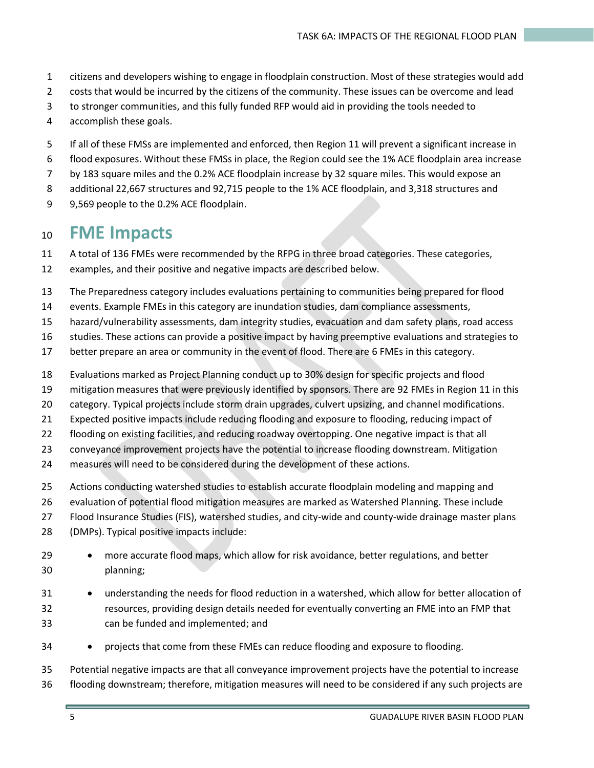- citizens and developers wishing to engage in floodplain construction. Most of these strategies would add
- costs that would be incurred by the citizens of the community. These issues can be overcome and lead
- to stronger communities, and this fully funded RFP would aid in providing the tools needed to
- accomplish these goals.
- If all of these FMSs are implemented and enforced, then Region 11 will prevent a significant increase in
- flood exposures. Without these FMSs in place, the Region could see the 1% ACE floodplain area increase
- by 183 square miles and the 0.2% ACE floodplain increase by 32 square miles. This would expose an
- additional 22,667 structures and 92,715 people to the 1% ACE floodplain, and 3,318 structures and
- 9 9,569 people to the 0.2% ACE floodplain.

## **FME Impacts**

- A total of 136 FMEs were recommended by the RFPG in three broad categories. These categories,
- examples, and their positive and negative impacts are described below.
- The Preparedness category includes evaluations pertaining to communities being prepared for flood
- events. Example FMEs in this category are inundation studies, dam compliance assessments,
- hazard/vulnerability assessments, dam integrity studies, evacuation and dam safety plans, road access
- studies. These actions can provide a positive impact by having preemptive evaluations and strategies to
- better prepare an area or community in the event of flood. There are 6 FMEs in this category.
- Evaluations marked as Project Planning conduct up to 30% design for specific projects and flood
- mitigation measures that were previously identified by sponsors. There are 92 FMEs in Region 11 in this
- category. Typical projects include storm drain upgrades, culvert upsizing, and channel modifications.
- Expected positive impacts include reducing flooding and exposure to flooding, reducing impact of
- flooding on existing facilities, and reducing roadway overtopping. One negative impact is that all
- conveyance improvement projects have the potential to increase flooding downstream. Mitigation
- measures will need to be considered during the development of these actions.
- Actions conducting watershed studies to establish accurate floodplain modeling and mapping and
- evaluation of potential flood mitigation measures are marked as Watershed Planning. These include
- Flood Insurance Studies (FIS), watershed studies, and city-wide and county-wide drainage master plans
- (DMPs). Typical positive impacts include:
- 29 more accurate flood maps, which allow for risk avoidance, better regulations, and better planning;
- understanding the needs for flood reduction in a watershed, which allow for better allocation of resources, providing design details needed for eventually converting an FME into an FMP that can be funded and implemented; and
- projects that come from these FMEs can reduce flooding and exposure to flooding.
- Potential negative impacts are that all conveyance improvement projects have the potential to increase flooding downstream; therefore, mitigation measures will need to be considered if any such projects are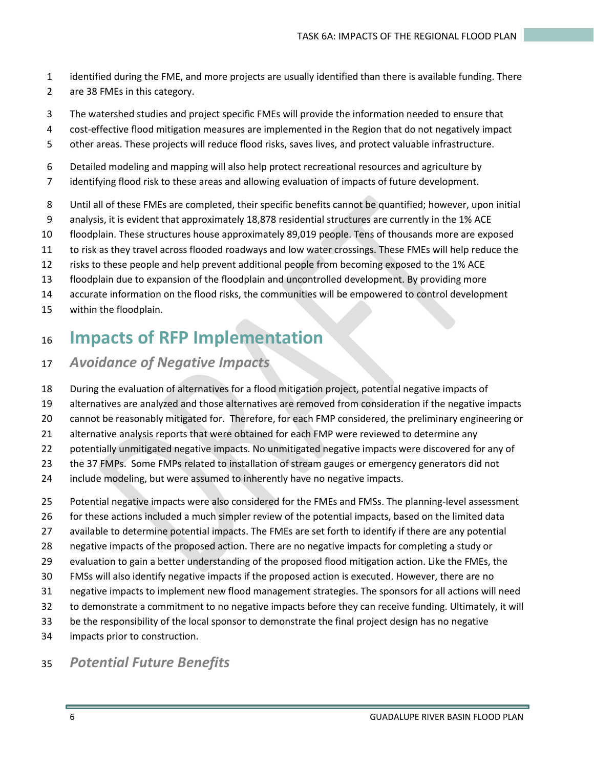- identified during the FME, and more projects are usually identified than there is available funding. There
- are 38 FMEs in this category.
- The watershed studies and project specific FMEs will provide the information needed to ensure that
- cost-effective flood mitigation measures are implemented in the Region that do not negatively impact
- other areas. These projects will reduce flood risks, saves lives, and protect valuable infrastructure.
- Detailed modeling and mapping will also help protect recreational resources and agriculture by
- identifying flood risk to these areas and allowing evaluation of impacts of future development.
- Until all of these FMEs are completed, their specific benefits cannot be quantified; however, upon initial
- analysis, it is evident that approximately 18,878 residential structures are currently in the 1% ACE
- floodplain. These structures house approximately 89,019 people. Tens of thousands more are exposed
- to risk as they travel across flooded roadways and low water crossings. These FMEs will help reduce the
- risks to these people and help prevent additional people from becoming exposed to the 1% ACE
- floodplain due to expansion of the floodplain and uncontrolled development. By providing more
- accurate information on the flood risks, the communities will be empowered to control development
- within the floodplain.

# **Impacts of RFP Implementation**

- *Avoidance of Negative Impacts*
- During the evaluation of alternatives for a flood mitigation project, potential negative impacts of
- alternatives are analyzed and those alternatives are removed from consideration if the negative impacts
- cannot be reasonably mitigated for. Therefore, for each FMP considered, the preliminary engineering or
- alternative analysis reports that were obtained for each FMP were reviewed to determine any
- potentially unmitigated negative impacts. No unmitigated negative impacts were discovered for any of
- the 37 FMPs. Some FMPs related to installation of stream gauges or emergency generators did not
- include modeling, but were assumed to inherently have no negative impacts.
- Potential negative impacts were also considered for the FMEs and FMSs. The planning-level assessment
- for these actions included a much simpler review of the potential impacts, based on the limited data
- available to determine potential impacts. The FMEs are set forth to identify if there are any potential
- negative impacts of the proposed action. There are no negative impacts for completing a study or
- evaluation to gain a better understanding of the proposed flood mitigation action. Like the FMEs, the
- FMSs will also identify negative impacts if the proposed action is executed. However, there are no
- negative impacts to implement new flood management strategies. The sponsors for all actions will need
- to demonstrate a commitment to no negative impacts before they can receive funding. Ultimately, it will
- be the responsibility of the local sponsor to demonstrate the final project design has no negative
- impacts prior to construction.

### *Potential Future Benefits*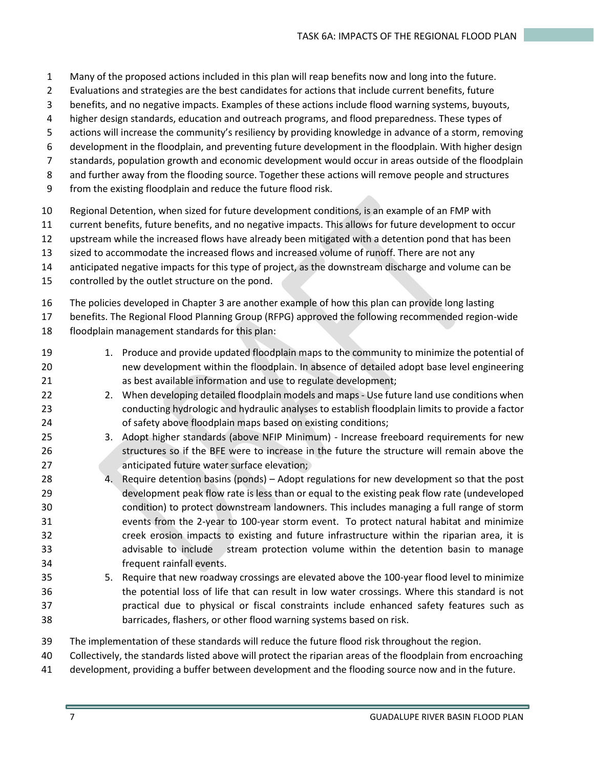- Many of the proposed actions included in this plan will reap benefits now and long into the future.
- Evaluations and strategies are the best candidates for actions that include current benefits, future
- benefits, and no negative impacts. Examples of these actions include flood warning systems, buyouts,
- higher design standards, education and outreach programs, and flood preparedness. These types of
- actions will increase the community's resiliency by providing knowledge in advance of a storm, removing
- development in the floodplain, and preventing future development in the floodplain. With higher design
- standards, population growth and economic development would occur in areas outside of the floodplain
- and further away from the flooding source. Together these actions will remove people and structures
- from the existing floodplain and reduce the future flood risk.
- Regional Detention, when sized for future development conditions, is an example of an FMP with
- current benefits, future benefits, and no negative impacts. This allows for future development to occur
- upstream while the increased flows have already been mitigated with a detention pond that has been
- sized to accommodate the increased flows and increased volume of runoff. There are not any
- anticipated negative impacts for this type of project, as the downstream discharge and volume can be
- controlled by the outlet structure on the pond.
- The policies developed in Chapter 3 are another example of how this plan can provide long lasting
- benefits. The Regional Flood Planning Group (RFPG) approved the following recommended region-wide floodplain management standards for this plan:
- 19 1. Produce and provide updated floodplain maps to the community to minimize the potential of new development within the floodplain. In absence of detailed adopt base level engineering as best available information and use to regulate development;
- 22 2. When developing detailed floodplain models and maps Use future land use conditions when conducting hydrologic and hydraulic analyses to establish floodplain limits to provide a factor 24 of safety above floodplain maps based on existing conditions;
- 3. Adopt higher standards (above NFIP Minimum) Increase freeboard requirements for new structures so if the BFE were to increase in the future the structure will remain above the anticipated future water surface elevation;
- 4. Require detention basins (ponds) Adopt regulations for new development so that the post development peak flow rate is less than or equal to the existing peak flow rate (undeveloped condition) to protect downstream landowners. This includes managing a full range of storm events from the 2-year to 100-year storm event. To protect natural habitat and minimize creek erosion impacts to existing and future infrastructure within the riparian area, it is advisable to include stream protection volume within the detention basin to manage frequent rainfall events.
- 5. Require that new roadway crossings are elevated above the 100-year flood level to minimize the potential loss of life that can result in low water crossings. Where this standard is not practical due to physical or fiscal constraints include enhanced safety features such as barricades, flashers, or other flood warning systems based on risk.
- The implementation of these standards will reduce the future flood risk throughout the region.
- Collectively, the standards listed above will protect the riparian areas of the floodplain from encroaching
- development, providing a buffer between development and the flooding source now and in the future.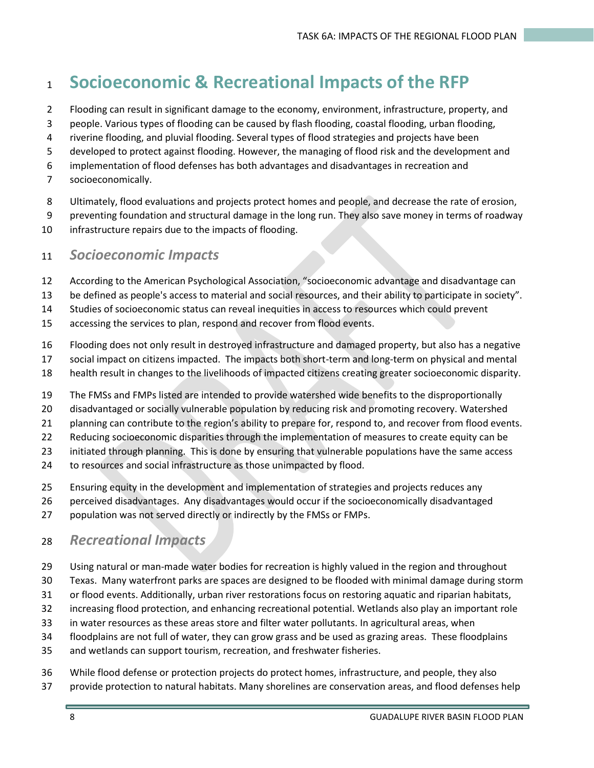# **Socioeconomic & Recreational Impacts of the RFP**

- Flooding can result in significant damage to the economy, environment, infrastructure, property, and
- people. Various types of flooding can be caused by flash flooding, coastal flooding, urban flooding,
- riverine flooding, and pluvial flooding. Several types of flood strategies and projects have been
- developed to protect against flooding. However, the managing of flood risk and the development and
- implementation of flood defenses has both advantages and disadvantages in recreation and
- socioeconomically.
- Ultimately, flood evaluations and projects protect homes and people, and decrease the rate of erosion,
- preventing foundation and structural damage in the long run. They also save money in terms of roadway
- infrastructure repairs due to the impacts of flooding.

#### *Socioeconomic Impacts*

- According to the American Psychological Association, "socioeconomic advantage and disadvantage can
- be defined as people's access to material and social resources, and their ability to participate in society".

Studies of socioeconomic status can reveal inequities in access to resources which could prevent

- accessing the services to plan, respond and recover from flood events.
- Flooding does not only result in destroyed infrastructure and damaged property, but also has a negative
- social impact on citizens impacted. The impacts both short-term and long-term on physical and mental
- health result in changes to the livelihoods of impacted citizens creating greater socioeconomic disparity.
- The FMSs and FMPs listed are intended to provide watershed wide benefits to the disproportionally
- disadvantaged or socially vulnerable population by reducing risk and promoting recovery. Watershed
- planning can contribute to the region's ability to prepare for, respond to, and recover from flood events.
- Reducing socioeconomic disparities through the implementation of measures to create equity can be
- initiated through planning. This is done by ensuring that vulnerable populations have the same access
- to resources and social infrastructure as those unimpacted by flood.
- Ensuring equity in the development and implementation of strategies and projects reduces any
- perceived disadvantages. Any disadvantages would occur if the socioeconomically disadvantaged
- population was not served directly or indirectly by the FMSs or FMPs.

#### *Recreational Impacts*

- Using natural or man-made water bodies for recreation is highly valued in the region and throughout
- Texas. Many waterfront parks are spaces are designed to be flooded with minimal damage during storm
- or flood events. Additionally, urban river restorations focus on restoring aquatic and riparian habitats,
- increasing flood protection, and enhancing recreational potential. Wetlands also play an important role
- in water resources as these areas store and filter water pollutants. In agricultural areas, when
- floodplains are not full of water, they can grow grass and be used as grazing areas. These floodplains
- and wetlands can support tourism, recreation, and freshwater fisheries.
- While flood defense or protection projects do protect homes, infrastructure, and people, they also provide protection to natural habitats. Many shorelines are conservation areas, and flood defenses help